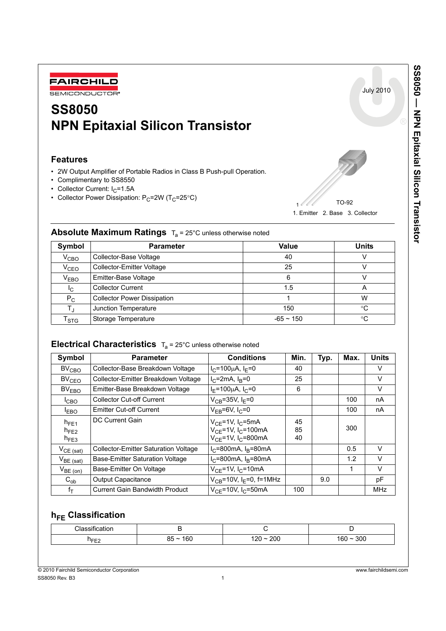

# **SS8050 NPN Epitaxial Silicon Transistor**

### **Features**

- 2W Output Amplifier of Portable Radios in Class B Push-pull Operation.
- Complimentary to SS8550
- Collector Current:  $I_C = 1.5A$
- Collector Power Dissipation:  $P_C = 2W (T_C = 25^{\circ}C)$



| $12 - 20 - 0.000$ and $0.000$ and $0.000$ and $0.000$ |                                    |              |              |  |  |
|-------------------------------------------------------|------------------------------------|--------------|--------------|--|--|
| Symbol                                                | <b>Parameter</b>                   | <b>Value</b> | <b>Units</b> |  |  |
| $V_{\text{CBO}}$                                      | Collector-Base Voltage             | 40           |              |  |  |
| V <sub>CEO</sub>                                      | Collector-Emitter Voltage          | 25           |              |  |  |
| $V_{EBO}$                                             | Emitter-Base Voltage               | 6            |              |  |  |
| <sup>I</sup> C                                        | <b>Collector Current</b>           | 1.5          | Α            |  |  |
| $P_C$                                                 | <b>Collector Power Dissipation</b> |              | W            |  |  |
| Tı.                                                   | Junction Temperature               | 150          | $^{\circ}$ C |  |  |
| $\mathsf{T}_{\text{STG}}$                             | Storage Temperature                | $-65 - 150$  | $^{\circ}$ C |  |  |

### **Absolute Maximum Ratings T.** = 25°C unless otherwise noted

## **Electrical Characteristics**  $T_a = 25^{\circ}$ C unless otherwise noted

| Symbol                              | <b>Parameter</b>                            | <b>Conditions</b>                                                                                                 | Min.           | Typ. | Max. | <b>Units</b> |
|-------------------------------------|---------------------------------------------|-------------------------------------------------------------------------------------------------------------------|----------------|------|------|--------------|
| $BV_{CBO}$                          | Collector-Base Breakdown Voltage            | $I_C = 100 \mu A$ , $I_F = 0$                                                                                     | 40             |      |      | V            |
| BV <sub>CEO</sub>                   | Collector-Emitter Breakdown Voltage         | $I_{C}$ =2mA, $I_{B}$ =0                                                                                          | 25             |      |      | V            |
| BV <sub>EBO</sub>                   | Emitter-Base Breakdown Voltage              | $I_F = 100 \mu A$ , $I_C = 0$                                                                                     | 6              |      |      | V            |
| <sup>I</sup> CBO                    | <b>Collector Cut-off Current</b>            | $V_{CB} = 35V, I_F = 0$                                                                                           |                |      | 100  | nA           |
| <b>EBO</b>                          | <b>Emitter Cut-off Current</b>              | $V_{FB} = 6V, I_C = 0$                                                                                            |                |      | 100  | nA           |
| $h_{FE1}$<br>$h_{FE2}$<br>$h_{FE3}$ | DC Current Gain                             | $V_{CF}$ =1V, I <sub>C</sub> =5mA<br>$V_{CE}$ =1V, I <sub>C</sub> =100mA<br>$V_{CF} = 1V$ , I <sub>C</sub> =800mA | 45<br>85<br>40 |      | 300  |              |
| $V_{CE (sat)}$                      | <b>Collector-Emitter Saturation Voltage</b> | $I_C = 800$ mA, $I_B = 80$ mA                                                                                     |                |      | 0.5  | V            |
| $V_{BE (sat)}$                      | <b>Base-Emitter Saturation Voltage</b>      | $I_{C}$ =800mA, $I_{B}$ =80mA                                                                                     |                |      | 1.2  | V            |
| $V_{BE (on)}$                       | Base-Emitter On Voltage                     | $V_{CF}$ =1V, I <sub>C</sub> =10mA                                                                                |                |      |      | V            |
| $C_{ob}$                            | Output Capacitance                          | $V_{CB} = 10V$ , I <sub>F</sub> =0, f=1MHz                                                                        |                | 9.0  |      | рF           |
| fτ                                  | <b>Current Gain Bandwidth Product</b>       | $V_{CF}$ =10V, I <sub>C</sub> =50mA                                                                               | 100            |      |      | MHz          |

# **h<sub>FE</sub>** Classification

| $\cdot$<br>$\sim$ $\sim$<br>$\sim$<br>100 <sub>5</sub> |               |                            |             |
|--------------------------------------------------------|---------------|----------------------------|-------------|
| ਸਰ⊏<br>└                                               | 160<br>$85 -$ | 200<br>ົດ∩<br>-<br>.<br>__ | 300<br>'bl. |

July 2010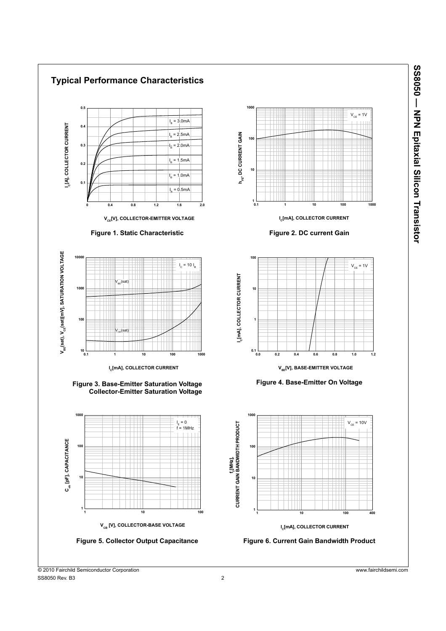

SS8050 - NPN Epitaxial Silicon Transistor **SS8050 — NPN Epitaxial Silicon Transistor**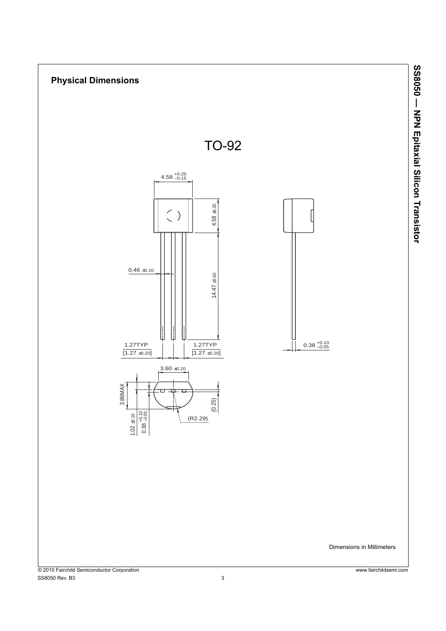

SS8050 - NPN Epitaxial Silicon Transistor **SS8050 — NPN Epitaxial Silicon Transistor**

SS8050 Rev. B3 3